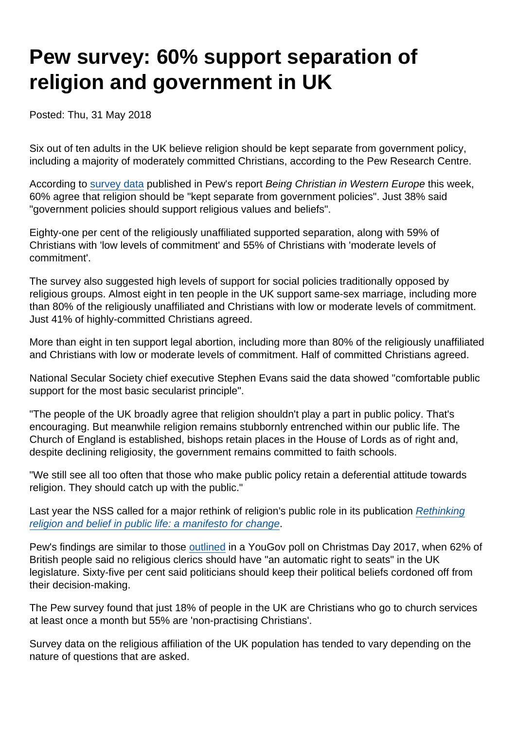# Pew survey: 60% support separation of religion and government in UK

Posted: Thu, 31 May 2018

Six out of ten adults in the UK believe religion should be kept separate from government policy, including a majority of moderately committed Christians, according to the Pew Research Centre.

According to [survey data](http://www.pewforum.org/2018/05/29/religion-and-society/) published in Pew's report Being Christian in Western Europe this week, 60% agree that religion should be "kept separate from government policies". Just 38% said "government policies should support religious values and beliefs".

Eighty-one per cent of the religiously unaffiliated supported separation, along with 59% of Christians with 'low levels of commitment' and 55% of Christians with 'moderate levels of commitment'.

The survey also suggested high levels of support for social policies traditionally opposed by religious groups. Almost eight in ten people in the UK support same-sex marriage, including more than 80% of the religiously unaffiliated and Christians with low or moderate levels of commitment. Just 41% of highly-committed Christians agreed.

More than eight in ten support legal abortion, including more than 80% of the religiously unaffiliated and Christians with low or moderate levels of commitment. Half of committed Christians agreed.

National Secular Society chief executive Stephen Evans said the data showed "comfortable public support for the most basic secularist principle".

"The people of the UK broadly agree that religion shouldn't play a part in public policy. That's encouraging. But meanwhile religion remains stubbornly entrenched within our public life. The Church of England is established, bishops retain places in the House of Lords as of right and, despite declining religiosity, the government remains committed to faith schools.

"We still see all too often that those who make public policy retain a deferential attitude towards religion. They should catch up with the public."

Last year the NSS called for a major rethink of religion's public role in its publication [Rethinking](https://www.secularism.org.uk/uploads/rethinking-religion-and-belief-in-public-life-a-manifesto-for-change.pdf) [religion and belief in public life: a manifesto for change.](https://www.secularism.org.uk/uploads/rethinking-religion-and-belief-in-public-life-a-manifesto-for-change.pdf)

Pew's findings are similar to those [outlined](https://www.secularism.org.uk/news/2017/12/religion-and-politics-should-not-mix-says-british-public) in a YouGov poll on Christmas Day 2017, when 62% of British people said no religious clerics should have "an automatic right to seats" in the UK legislature. Sixty-five per cent said politicians should keep their political beliefs cordoned off from their decision-making.

The Pew survey found that just 18% of people in the UK are Christians who go to church services at least once a month but 55% are 'non-practising Christians'.

Survey data on the religious affiliation of the UK population has tended to vary depending on the nature of questions that are asked.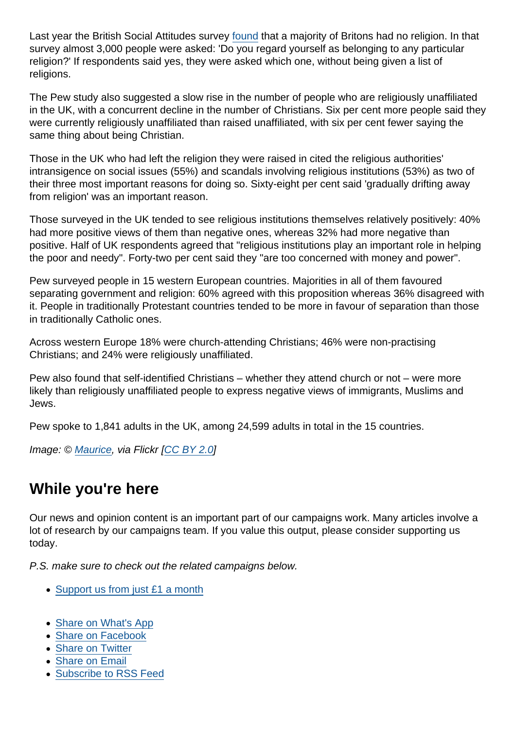Last year the British Social Attitudes survey [found](https://www.secularism.org.uk/news/2017/09/more-than-half-of-brits-now-non-religious-study-finds) that a majority of Britons had no religion. In that survey almost 3,000 people were asked: 'Do you regard yourself as belonging to any particular religion?' If respondents said yes, they were asked which one, without being given a list of religions.

The Pew study also suggested a slow rise in the number of people who are religiously unaffiliated in the UK, with a concurrent decline in the number of Christians. Six per cent more people said they were currently religiously unaffiliated than raised unaffiliated, with six per cent fewer saying the same thing about being Christian.

Those in the UK who had left the religion they were raised in cited the religious authorities' intransigence on social issues (55%) and scandals involving religious institutions (53%) as two of their three most important reasons for doing so. Sixty-eight per cent said 'gradually drifting away from religion' was an important reason.

Those surveyed in the UK tended to see religious institutions themselves relatively positively: 40% had more positive views of them than negative ones, whereas 32% had more negative than positive. Half of UK respondents agreed that "religious institutions play an important role in helping the poor and needy". Forty-two per cent said they "are too concerned with money and power".

Pew surveyed people in 15 western European countries. Majorities in all of them favoured separating government and religion: 60% agreed with this proposition whereas 36% disagreed with it. People in traditionally Protestant countries tended to be more in favour of separation than those in traditionally Catholic ones.

Across western Europe 18% were church-attending Christians; 46% were non-practising Christians; and 24% were religiously unaffiliated.

Pew also found that self-identified Christians – whether they attend church or not – were more likely than religiously unaffiliated people to express negative views of immigrants, Muslims and Jews.

Pew spoke to 1,841 adults in the UK, among 24,599 adults in total in the 15 countries.

Image: © [Maurice,](https://www.flickr.com/people/97044050@N00) via Flickr [[CC BY 2.0](https://creativecommons.org/licenses/by/2.0/legalcode)]

### While you're here

Our news and opinion content is an important part of our campaigns work. Many articles involve a lot of research by our campaigns team. If you value this output, please consider supporting us today.

P.S. make sure to check out the related campaigns below.

- [Support us from just £1 a month](https://www.secularism.org.uk/donate.html)
- [Share on What's App](whatsapp://send?text=http://www.secularism.org.uk/news/2018/05/pew-survey-60-percent-support-separation-of-religion-and-government-in-uk?format=pdf)
- [Share on Facebook](https://www.facebook.com/sharer/sharer.php?u=http://www.secularism.org.uk/news/2018/05/pew-survey-60-percent-support-separation-of-religion-and-government-in-uk?format=pdf&t=Pew+survey:+60%+support+separation+of+religion+and+government+in+UK)
- [Share on Twitter](https://twitter.com/intent/tweet?url=http://www.secularism.org.uk/news/2018/05/pew-survey-60-percent-support-separation-of-religion-and-government-in-uk?format=pdf&text=Pew+survey:+60%+support+separation+of+religion+and+government+in+UK&via=NatSecSoc)
- [Share on Email](https://www.secularism.org.uk/share.html?url=http://www.secularism.org.uk/news/2018/05/pew-survey-60-percent-support-separation-of-religion-and-government-in-uk?format=pdf&title=Pew+survey:+60%+support+separation+of+religion+and+government+in+UK)
- [Subscribe to RSS Feed](/mnt/web-data/www/cp-nss/feeds/rss/news)